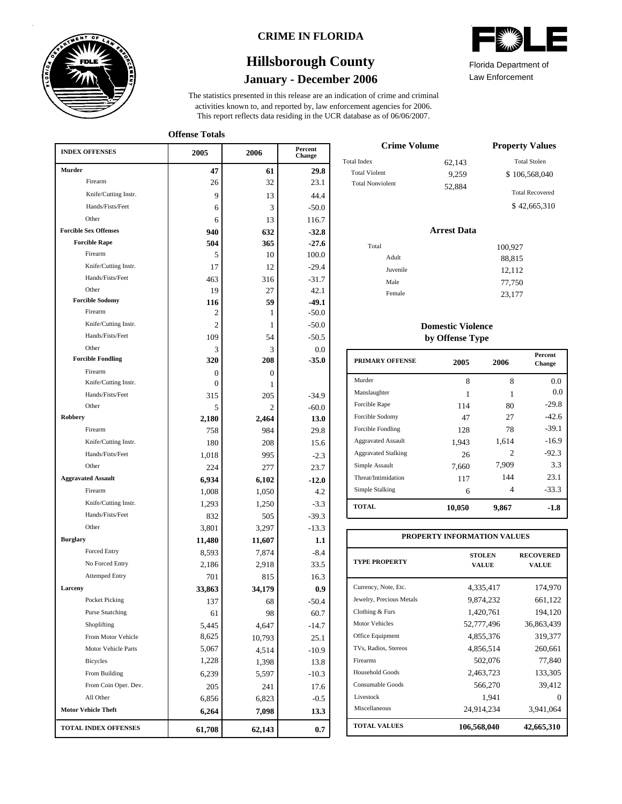

### **CRIME IN FLORIDA**

# **January - December 2006 Hillsborough County**

This report reflects data residing in the UCR database as of 06/06/2007. activities known to, and reported by, law enforcement agencies for 2006. The statistics presented in this release are an indication of crime and criminal

**Offense Totals**

| <b>INDEX OFFENSES</b>        | 2005           | 2006           | Percent<br>Change |
|------------------------------|----------------|----------------|-------------------|
| Murder                       | 47             | 61             | 29.8              |
| Firearm                      | 26             | 32             | 23.1              |
| Knife/Cutting Instr.         | 9              | 13             | 44.4              |
| Hands/Fists/Feet             | 6              | 3              | $-50.0$           |
| Other                        | 6              | 13             | 116.7             |
| <b>Forcible Sex Offenses</b> | 940            | 632            | $-32.8$           |
| <b>Forcible Rape</b>         | 504            | 365            | $-27.6$           |
| Firearm                      | 5              | 10             | 100.0             |
| Knife/Cutting Instr.         | 17             | 12             | $-29.4$           |
| Hands/Fists/Feet             | 463            | 316            | $-31.7$           |
| Other                        | 19             | 27             | 42.1              |
| <b>Forcible Sodomy</b>       | 116            | 59             | $-49.1$           |
| Firearm                      | 2              | 1              | $-50.0$           |
| Knife/Cutting Instr.         | $\overline{c}$ | 1              | $-50.0$           |
| Hands/Fists/Feet             | 109            | 54             | $-50.5$           |
| Other                        | 3              | 3              | 0.0               |
| <b>Forcible Fondling</b>     | 320            | 208            | $-35.0$           |
| Firearm                      | 0              | $\overline{0}$ |                   |
| Knife/Cutting Instr.         | 0              | 1              |                   |
| Hands/Fists/Feet             | 315            | 205            | $-34.9$           |
| Other                        | 5              | $\overline{c}$ | $-60.0$           |
| Robbery                      | 2,180          | 2,464          | 13.0              |
| Firearm                      | 758            | 984            | 29.8              |
| Knife/Cutting Instr.         | 180            | 208            | 15.6              |
| Hands/Fists/Feet             | 1,018          | 995            | $-2.3$            |
| Other                        | 224            | 277            | 23.7              |
| <b>Aggravated Assault</b>    | 6,934          | 6,102          | $-12.0$           |
| Firearm                      | 1,008          | 1,050          | 4.2               |
| Knife/Cutting Instr.         | 1,293          | 1,250          | $-3.3$            |
| Hands/Fists/Feet             | 832            | 505            | $-39.3$           |
| Other                        | 3,801          | 3,297          | $-13.3$           |
| <b>Burglary</b>              | 11,480         | 11,607         | 1.1               |
| Forced Entry                 | 8.593          | 7,874          | $-8.4$            |
| No Forced Entry              | 2,186          | 2,918          | 33.5              |
| <b>Attemped Entry</b>        | 701            | 815            | 16.3              |
| Larceny                      | 33,863         | 34,179         | 0.9               |
| Pocket Picking               | 137            | 68             | $-50.4$           |
| <b>Purse Snatching</b>       | 61             | 98             | 60.7              |
| Shoplifting                  | 5,445          | 4,647          | $-14.7$           |
| From Motor Vehicle           | 8,625          | 10,793         | 25.1              |
| Motor Vehicle Parts          | 5,067          | 4,514          | $-10.9$           |
| <b>Bicycles</b>              | 1,228          | 1,398          | 13.8              |
| From Building                | 6,239          | 5,597          | $-10.3$           |
| From Coin Oper. Dev.         | 205            | 241            | 17.6              |
| All Other                    | 6,856          | 6,823          | $-0.5$            |
| <b>Motor Vehicle Theft</b>   | 6,264          | 7,098          | 13.3              |
| TOTAL INDEX OFFENSES         | 61,708         | 62,143         | 0.7               |

| $\mathbf{Z}$          |  |
|-----------------------|--|
| Florida Denartment of |  |

Law Enforcement Florida Department of

| <b>Crime Volume</b>     | <b>Property Values</b> |                        |  |
|-------------------------|------------------------|------------------------|--|
| Total Index             | 62,143                 | <b>Total Stolen</b>    |  |
| <b>Total Violent</b>    | 9.259                  | \$106,568,040          |  |
| <b>Total Nonviolent</b> | 52,884                 | <b>Total Recovered</b> |  |
|                         |                        | \$42,665,310           |  |

#### **Arrest Data**

| Total    | 100,927 |
|----------|---------|
|          |         |
| Adult    | 88,815  |
| Juvenile | 12,112  |
| Male     | 77,750  |
| Female   | 23,177  |

#### **Domestic Violence by Offense Type**

| <b>PRIMARY OFFENSE</b>     | 2005   | 2006  | <b>Percent</b><br>Change |
|----------------------------|--------|-------|--------------------------|
| Murder                     | 8      | 8     | 0.0                      |
| Manslaughter               |        |       | 0.0                      |
| Forcible Rape              | 114    | 80    | $-29.8$                  |
| Forcible Sodomy            | 47     | 27    | $-42.6$                  |
| Forcible Fondling          | 128    | 78    | $-39.1$                  |
| <b>Aggravated Assault</b>  | 1,943  | 1,614 | $-16.9$                  |
| <b>Aggravated Stalking</b> | 26     | 2     | $-92.3$                  |
| Simple Assault             | 7.660  | 7,909 | 3.3                      |
| Threat/Intimidation        | 117    | 144   | 23.1                     |
| Simple Stalking            | 6      | 4     | $-33.3$                  |
| <b>TOTAL</b>               | 10,050 | 9,867 | -1.8                     |

| PROPERTY INFORMATION VALUES |                               |                           |  |  |  |  |  |
|-----------------------------|-------------------------------|---------------------------|--|--|--|--|--|
| <b>TYPE PROPERTY</b>        | <b>STOLEN</b><br><b>VALUE</b> | <b>RECOVERED</b><br>VALUE |  |  |  |  |  |
| Currency, Note, Etc.        | 4,335,417                     | 174,970                   |  |  |  |  |  |
| Jewelry, Precious Metals    | 9,874,232                     | 661,122                   |  |  |  |  |  |
| Clothing & Furs             | 1,420,761                     | 194,120                   |  |  |  |  |  |
| <b>Motor Vehicles</b>       | 52,777,496                    | 36,863,439                |  |  |  |  |  |
| Office Equipment            | 4,855,376                     | 319,377                   |  |  |  |  |  |
| TVs, Radios, Stereos        | 4,856,514                     | 260,661                   |  |  |  |  |  |
| Firearms                    | 502,076                       | 77,840                    |  |  |  |  |  |
| Household Goods             | 2,463,723                     | 133,305                   |  |  |  |  |  |
| Consumable Goods            | 566,270                       | 39,412                    |  |  |  |  |  |
| Livestock                   | 1,941                         | 0                         |  |  |  |  |  |
| Miscellaneous               | 24,914,234                    | 3,941,064                 |  |  |  |  |  |
| <b>TOTAL VALUES</b>         | 106,568,040                   | 42,665,310                |  |  |  |  |  |